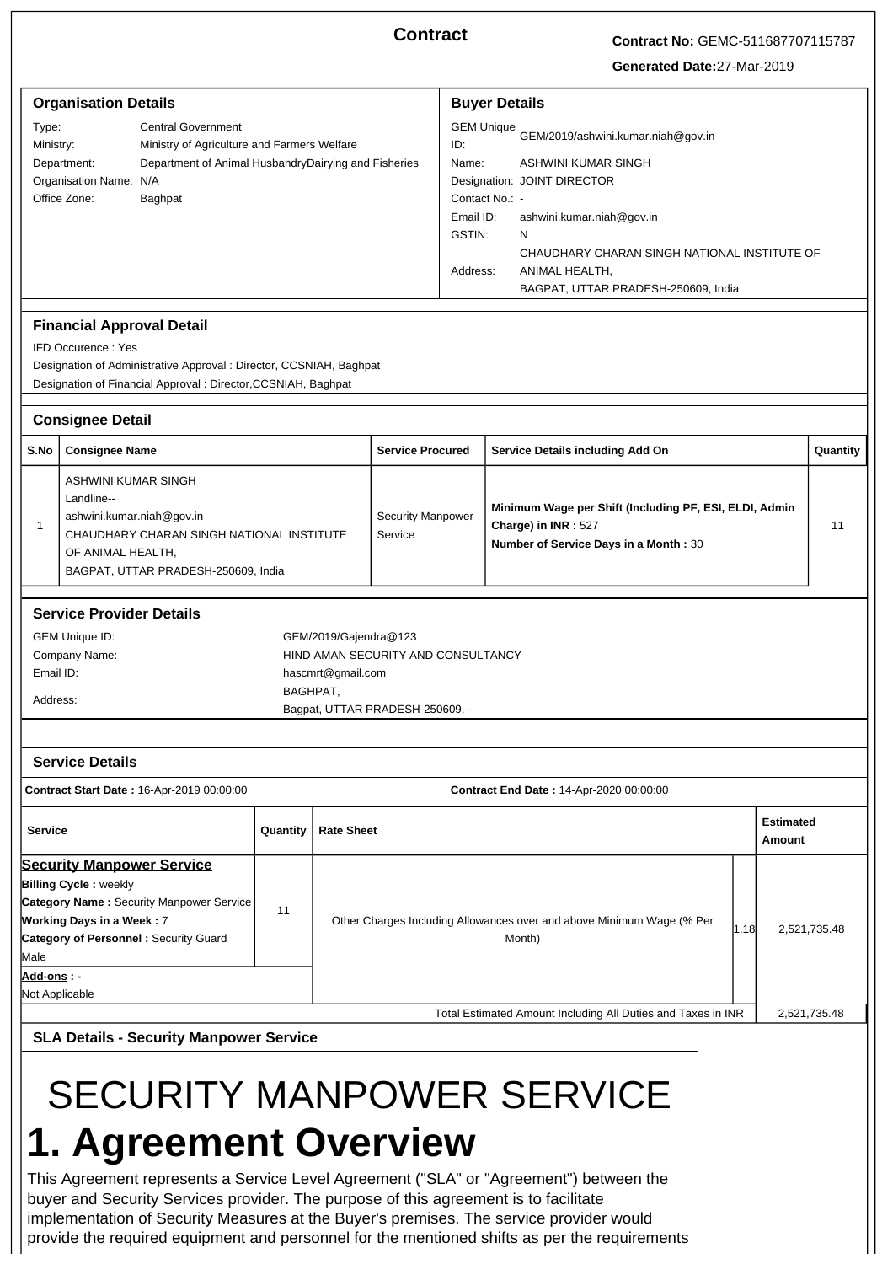**Contract Contract No:** GEMC-511687707115787

**Generated Date:**27-Mar-2019

| <b>Organisation Details</b><br>Type:<br><b>Central Government</b><br>Ministry:<br>Ministry of Agriculture and Farmers Welfare<br>Department of Animal HusbandryDairying and Fisheries<br>Department:<br>Organisation Name: N/A<br>Office Zone:<br>Baghpat<br><b>Financial Approval Detail</b>                                                                                            |                                                                                                                                                                                                                                       |                                                                                                         |                                     | <b>Buyer Details</b><br><b>GEM Unique</b><br>GEM/2019/ashwini.kumar.niah@gov.in<br>ID:<br>Name:<br><b>ASHWINI KUMAR SINGH</b><br>Designation: JOINT DIRECTOR<br>Contact No.: -<br>Email ID:<br>ashwini.kumar.niah@gov.in<br>GSTIN:<br>N<br>CHAUDHARY CHARAN SINGH NATIONAL INSTITUTE OF<br>Address:<br>ANIMAL HEALTH,<br>BAGPAT, UTTAR PRADESH-250609, India |                                                                                                                        |  |    |          |
|------------------------------------------------------------------------------------------------------------------------------------------------------------------------------------------------------------------------------------------------------------------------------------------------------------------------------------------------------------------------------------------|---------------------------------------------------------------------------------------------------------------------------------------------------------------------------------------------------------------------------------------|---------------------------------------------------------------------------------------------------------|-------------------------------------|--------------------------------------------------------------------------------------------------------------------------------------------------------------------------------------------------------------------------------------------------------------------------------------------------------------------------------------------------------------|------------------------------------------------------------------------------------------------------------------------|--|----|----------|
|                                                                                                                                                                                                                                                                                                                                                                                          | <b>IFD Occurence: Yes</b><br>Designation of Administrative Approval : Director, CCSNIAH, Baghpat<br>Designation of Financial Approval : Director, CCSNIAH, Baghpat                                                                    |                                                                                                         |                                     |                                                                                                                                                                                                                                                                                                                                                              |                                                                                                                        |  |    |          |
|                                                                                                                                                                                                                                                                                                                                                                                          | <b>Consignee Detail</b>                                                                                                                                                                                                               |                                                                                                         |                                     |                                                                                                                                                                                                                                                                                                                                                              |                                                                                                                        |  |    |          |
| S.No                                                                                                                                                                                                                                                                                                                                                                                     | <b>Consignee Name</b>                                                                                                                                                                                                                 |                                                                                                         |                                     | <b>Service Procured</b>                                                                                                                                                                                                                                                                                                                                      | Service Details including Add On                                                                                       |  |    | Quantity |
| $\mathbf{1}$                                                                                                                                                                                                                                                                                                                                                                             | ASHWINI KUMAR SINGH<br>Landline--<br>ashwini.kumar.niah@gov.in<br>CHAUDHARY CHARAN SINGH NATIONAL INSTITUTE<br>OF ANIMAL HEALTH,<br>BAGPAT, UTTAR PRADESH-250609, India                                                               |                                                                                                         | <b>Security Manpower</b><br>Service |                                                                                                                                                                                                                                                                                                                                                              | Minimum Wage per Shift (Including PF, ESI, ELDI, Admin<br>Charge) in INR: 527<br>Number of Service Days in a Month: 30 |  | 11 |          |
|                                                                                                                                                                                                                                                                                                                                                                                          | <b>Service Provider Details</b><br><b>GEM Unique ID:</b><br>GEM/2019/Gajendra@123<br>Company Name:<br>HIND AMAN SECURITY AND CONSULTANCY<br>Email ID:<br>hascmrt@gmail.com<br>BAGHPAT,<br>Address:<br>Bagpat, UTTAR PRADESH-250609, - |                                                                                                         |                                     |                                                                                                                                                                                                                                                                                                                                                              |                                                                                                                        |  |    |          |
| <b>Service Details</b><br>Contract Start Date: 16-Apr-2019 00:00:00<br>Contract End Date: 14-Apr-2020 00:00:00                                                                                                                                                                                                                                                                           |                                                                                                                                                                                                                                       |                                                                                                         |                                     |                                                                                                                                                                                                                                                                                                                                                              |                                                                                                                        |  |    |          |
| <b>Service</b><br><b>Rate Sheet</b><br>Quantity                                                                                                                                                                                                                                                                                                                                          |                                                                                                                                                                                                                                       |                                                                                                         |                                     |                                                                                                                                                                                                                                                                                                                                                              | <b>Estimated</b><br>Amount                                                                                             |  |    |          |
| <b>Security Manpower Service</b><br><b>Billing Cycle: weekly</b><br><b>Category Name: Security Manpower Service</b><br>11<br><b>Working Days in a Week: 7</b><br>Category of Personnel: Security Guard<br>Male                                                                                                                                                                           |                                                                                                                                                                                                                                       | Other Charges Including Allowances over and above Minimum Wage (% Per<br>1.18<br>2,521,735.48<br>Month) |                                     |                                                                                                                                                                                                                                                                                                                                                              |                                                                                                                        |  |    |          |
|                                                                                                                                                                                                                                                                                                                                                                                          | Add-ons : -<br>Not Applicable                                                                                                                                                                                                         |                                                                                                         |                                     |                                                                                                                                                                                                                                                                                                                                                              |                                                                                                                        |  |    |          |
| Total Estimated Amount Including All Duties and Taxes in INR<br>2,521,735.48                                                                                                                                                                                                                                                                                                             |                                                                                                                                                                                                                                       |                                                                                                         |                                     |                                                                                                                                                                                                                                                                                                                                                              |                                                                                                                        |  |    |          |
| <b>SLA Details - Security Manpower Service</b><br><b>SECURITY MANPOWER SERVICE</b><br>1. Agreement Overview<br>This Agreement represents a Service Level Agreement ("SLA" or "Agreement") between the<br>buyer and Security Services provider. The purpose of this agreement is to facilitate<br>implementation of Security Measures at the Buyer's premises. The service provider would |                                                                                                                                                                                                                                       |                                                                                                         |                                     |                                                                                                                                                                                                                                                                                                                                                              |                                                                                                                        |  |    |          |

provide the required equipment and personnel for the mentioned shifts as per the requirements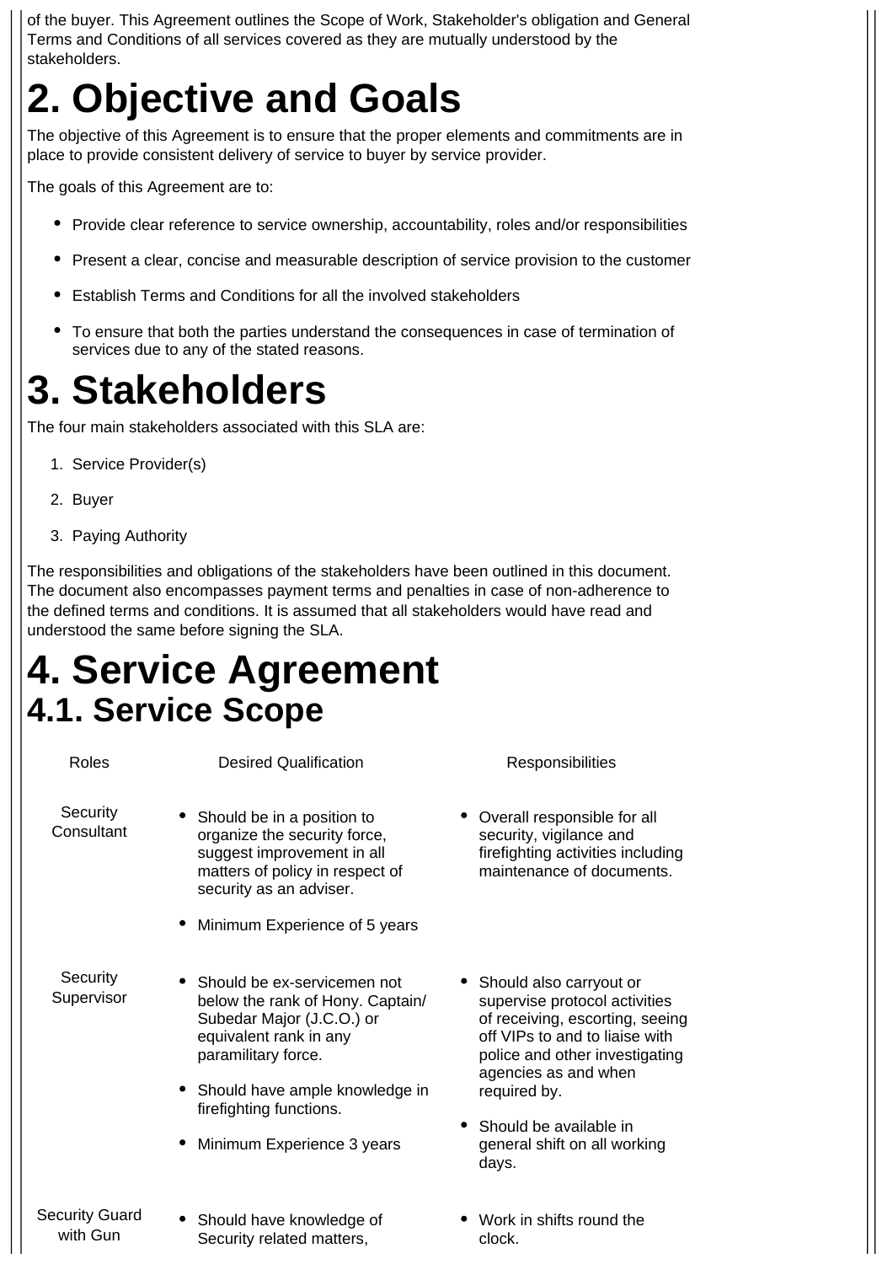of the buyer. This Agreement outlines the Scope of Work, Stakeholder's obligation and General Terms and Conditions of all services covered as they are mutually understood by the stakeholders.

# **2. Objective and Goals**

The objective of this Agreement is to ensure that the proper elements and commitments are in place to provide consistent delivery of service to buyer by service provider.

The goals of this Agreement are to:

- Provide clear reference to service ownership, accountability, roles and/or responsibilities
- Present a clear, concise and measurable description of service provision to the customer
- Establish Terms and Conditions for all the involved stakeholders
- To ensure that both the parties understand the consequences in case of termination of services due to any of the stated reasons.

# **3. Stakeholders**

The four main stakeholders associated with this SLA are:

- 1. Service Provider(s)
- 2. Buyer
- 3. Paying Authority

The responsibilities and obligations of the stakeholders have been outlined in this document. The document also encompasses payment terms and penalties in case of non-adherence to the defined terms and conditions. It is assumed that all stakeholders would have read and understood the same before signing the SLA.

## **4. Service Agreement 4.1. Service Scope**

| Roles                             | <b>Desired Qualification</b>                                                                                                                                                                                                               | Responsibilities                                                                                                                                                                                                                                                               |  |  |
|-----------------------------------|--------------------------------------------------------------------------------------------------------------------------------------------------------------------------------------------------------------------------------------------|--------------------------------------------------------------------------------------------------------------------------------------------------------------------------------------------------------------------------------------------------------------------------------|--|--|
| Security<br>Consultant            | • Should be in a position to<br>organize the security force,<br>suggest improvement in all<br>matters of policy in respect of<br>security as an adviser.                                                                                   | • Overall responsible for all<br>security, vigilance and<br>firefighting activities including<br>maintenance of documents.                                                                                                                                                     |  |  |
|                                   | Minimum Experience of 5 years                                                                                                                                                                                                              |                                                                                                                                                                                                                                                                                |  |  |
| Security<br>Supervisor            | • Should be ex-servicemen not<br>below the rank of Hony. Captain/<br>Subedar Major (J.C.O.) or<br>equivalent rank in any<br>paramilitary force.<br>Should have ample knowledge in<br>firefighting functions.<br>Minimum Experience 3 years | • Should also carryout or<br>supervise protocol activities<br>of receiving, escorting, seeing<br>off VIPs to and to liaise with<br>police and other investigating<br>agencies as and when<br>required by.<br>• Should be available in<br>general shift on all working<br>days. |  |  |
| <b>Security Guard</b><br>with Gun | • Should have knowledge of<br>Security related matters,                                                                                                                                                                                    | • Work in shifts round the<br>clock.                                                                                                                                                                                                                                           |  |  |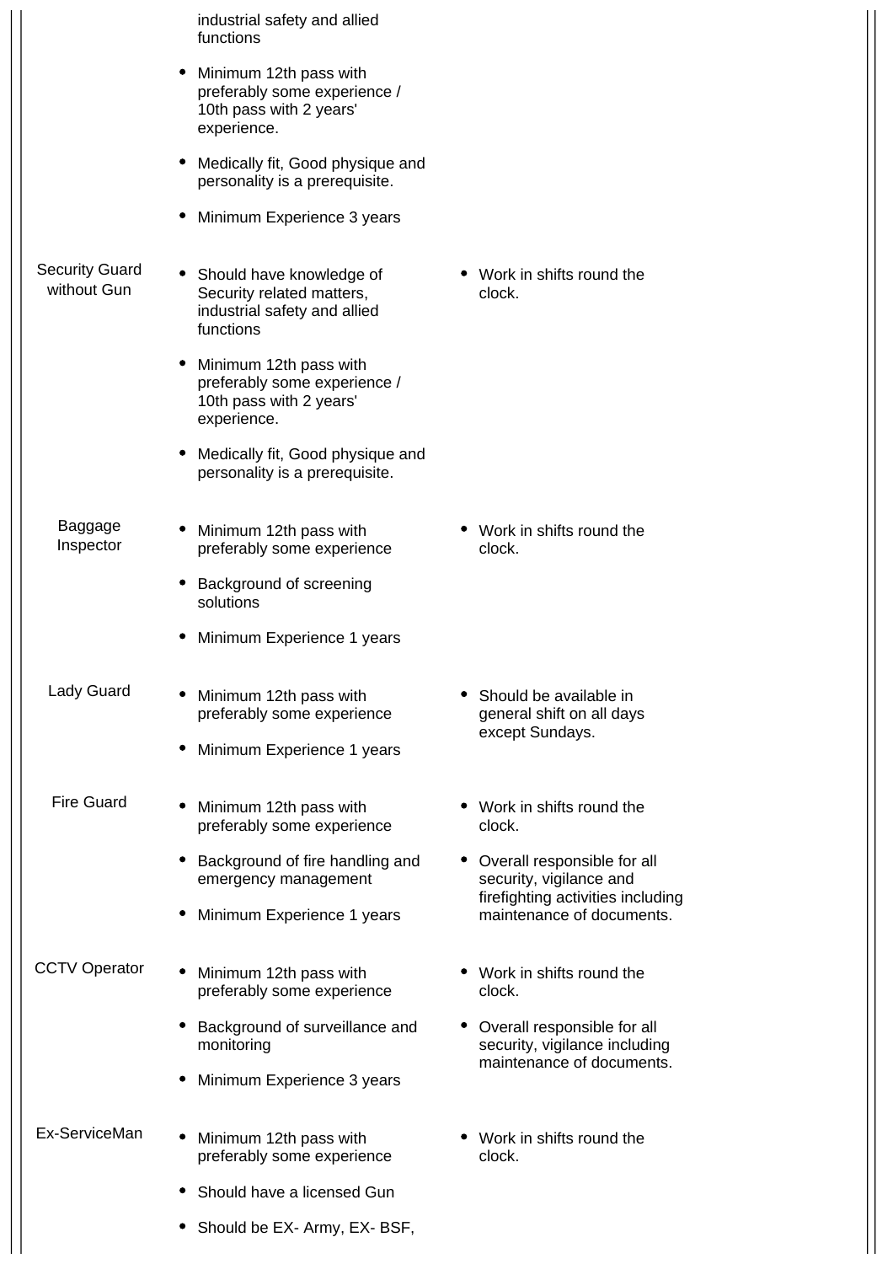|                                      | industrial safety and allied<br>functions                                                            |                                                                                               |
|--------------------------------------|------------------------------------------------------------------------------------------------------|-----------------------------------------------------------------------------------------------|
|                                      | Minimum 12th pass with<br>preferably some experience /<br>10th pass with 2 years'<br>experience.     |                                                                                               |
|                                      | Medically fit, Good physique and<br>personality is a prerequisite.                                   |                                                                                               |
|                                      | Minimum Experience 3 years                                                                           |                                                                                               |
| <b>Security Guard</b><br>without Gun | • Should have knowledge of<br>Security related matters,<br>industrial safety and allied<br>functions | • Work in shifts round the<br>clock.                                                          |
|                                      | • Minimum 12th pass with<br>preferably some experience /<br>10th pass with 2 years'<br>experience.   |                                                                                               |
|                                      | Medically fit, Good physique and<br>personality is a prerequisite.                                   |                                                                                               |
| Baggage<br>Inspector                 | Minimum 12th pass with<br>preferably some experience                                                 | Work in shifts round the<br>clock.                                                            |
|                                      | Background of screening<br>solutions                                                                 |                                                                                               |
|                                      | Minimum Experience 1 years                                                                           |                                                                                               |
| Lady Guard                           | Minimum 12th pass with<br>preferably some experience                                                 | Should be available in<br>general shift on all days<br>except Sundays.                        |
|                                      | Minimum Experience 1 years                                                                           |                                                                                               |
| <b>Fire Guard</b>                    | Minimum 12th pass with<br>preferably some experience                                                 | • Work in shifts round the<br>clock.                                                          |
|                                      | Background of fire handling and<br>emergency management                                              | • Overall responsible for all<br>security, vigilance and<br>firefighting activities including |
|                                      | Minimum Experience 1 years                                                                           | maintenance of documents.                                                                     |
| <b>CCTV Operator</b>                 | Minimum 12th pass with<br>preferably some experience                                                 | Work in shifts round the<br>clock.                                                            |
|                                      | Background of surveillance and<br>monitoring                                                         | Overall responsible for all<br>security, vigilance including<br>maintenance of documents.     |
|                                      | Minimum Experience 3 years                                                                           |                                                                                               |
| Ex-ServiceMan                        | Minimum 12th pass with<br>٠<br>preferably some experience                                            | • Work in shifts round the<br>clock.                                                          |
|                                      | Should have a licensed Gun                                                                           |                                                                                               |
|                                      | Should be EX- Army, EX- BSF,<br>$\bullet$                                                            |                                                                                               |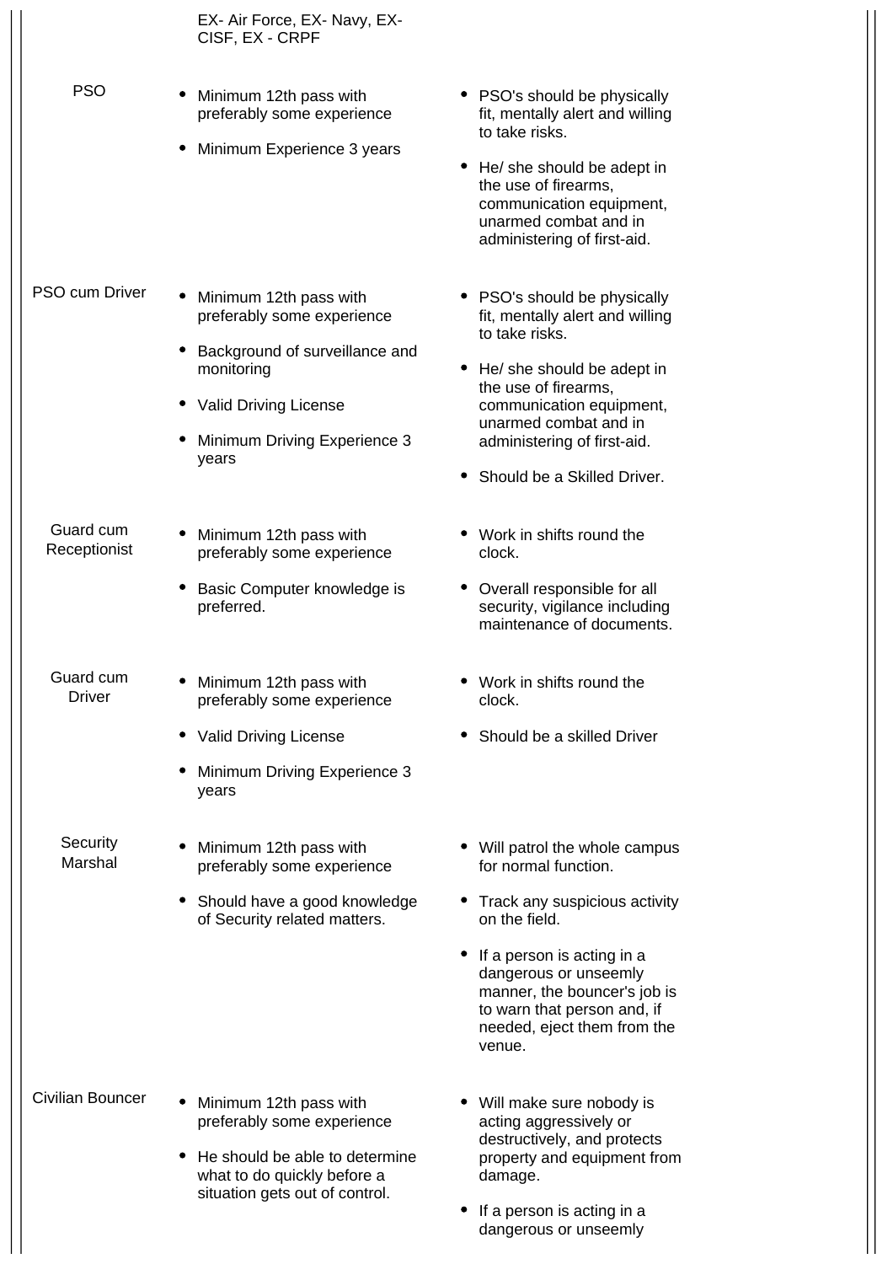|                           | EX- Air Force, EX- Navy, EX-<br>CISF, EX - CRPF                                                                                                                          |                                                                                                                                                                                                                                                                         |
|---------------------------|--------------------------------------------------------------------------------------------------------------------------------------------------------------------------|-------------------------------------------------------------------------------------------------------------------------------------------------------------------------------------------------------------------------------------------------------------------------|
| <b>PSO</b>                | Minimum 12th pass with<br>preferably some experience<br>Minimum Experience 3 years                                                                                       | • PSO's should be physically<br>fit, mentally alert and willing<br>to take risks.<br>• He/ she should be adept in<br>the use of firearms,<br>communication equipment,<br>unarmed combat and in<br>administering of first-aid.                                           |
| <b>PSO cum Driver</b>     | Minimum 12th pass with<br>preferably some experience<br>Background of surveillance and<br>monitoring<br>• Valid Driving License<br>Minimum Driving Experience 3<br>years | • PSO's should be physically<br>fit, mentally alert and willing<br>to take risks.<br>He/ she should be adept in<br>$\bullet$<br>the use of firearms,<br>communication equipment,<br>unarmed combat and in<br>administering of first-aid.<br>Should be a Skilled Driver. |
| Guard cum<br>Receptionist | Minimum 12th pass with<br>preferably some experience<br>Basic Computer knowledge is<br>preferred.                                                                        | Work in shifts round the<br>clock.<br>Overall responsible for all<br>security, vigilance including<br>maintenance of documents.                                                                                                                                         |
| Guard cum<br>Driver       | Minimum 12th pass with<br>preferably some experience<br>• Valid Driving License<br>Minimum Driving Experience 3<br>years                                                 | Work in shifts round the<br>clock.<br>Should be a skilled Driver                                                                                                                                                                                                        |
| Security<br>Marshal       | Minimum 12th pass with<br>preferably some experience<br>Should have a good knowledge<br>of Security related matters.                                                     | • Will patrol the whole campus<br>for normal function.<br>Track any suspicious activity<br>on the field.<br>If a person is acting in a<br>dangerous or unseemly<br>manner, the bouncer's job is<br>to warn that person and, if<br>needed, eject them from the<br>venue. |
| Civilian Bouncer          | Minimum 12th pass with<br>preferably some experience<br>He should be able to determine<br>what to do quickly before a<br>situation gets out of control.                  | Will make sure nobody is<br>acting aggressively or<br>destructively, and protects<br>property and equipment from<br>damage.<br>If a person is acting in a<br>dangerous or unseemly                                                                                      |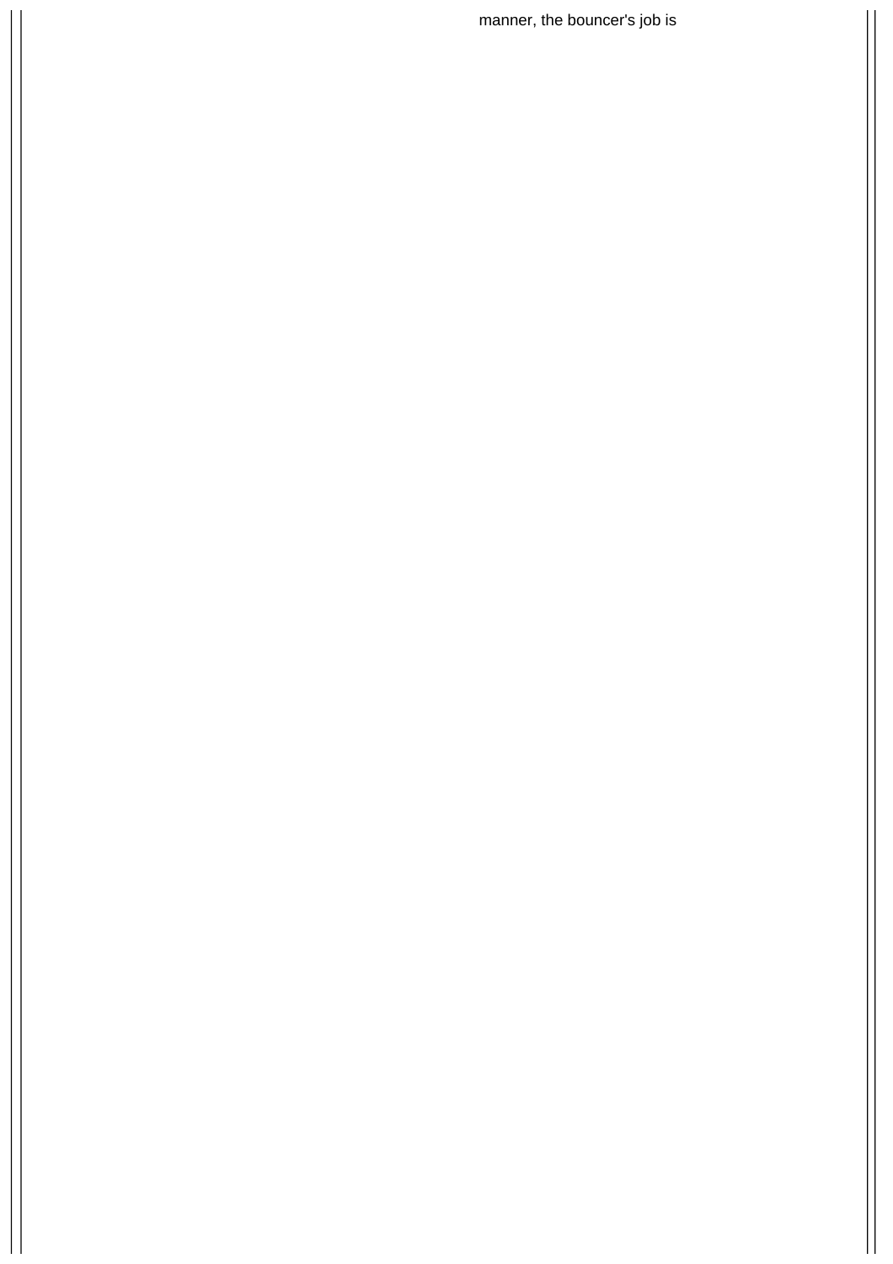manner, the bouncer's job is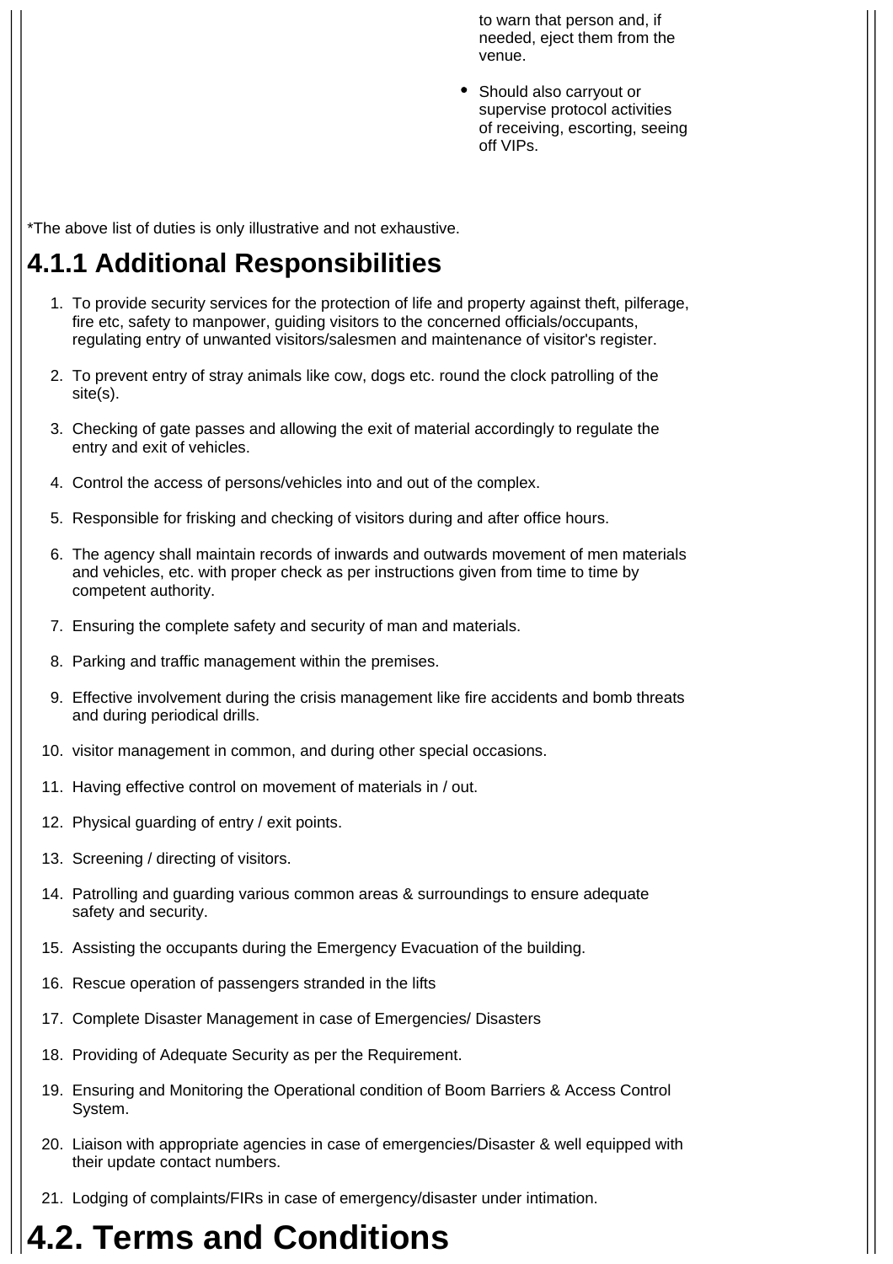to warn that person and, if needed, eject them from the venue.

• Should also carryout or supervise protocol activities of receiving, escorting, seeing off VIPs.

\*The above list of duties is only illustrative and not exhaustive.

#### **4.1.1 Additional Responsibilities**

- 1. To provide security services for the protection of life and property against theft, pilferage, fire etc, safety to manpower, guiding visitors to the concerned officials/occupants, regulating entry of unwanted visitors/salesmen and maintenance of visitor's register.
- 2. To prevent entry of stray animals like cow, dogs etc. round the clock patrolling of the site(s).
- 3. Checking of gate passes and allowing the exit of material accordingly to regulate the entry and exit of vehicles.
- 4. Control the access of persons/vehicles into and out of the complex.
- 5. Responsible for frisking and checking of visitors during and after office hours.
- 6. The agency shall maintain records of inwards and outwards movement of men materials and vehicles, etc. with proper check as per instructions given from time to time by competent authority.
- 7. Ensuring the complete safety and security of man and materials.
- 8. Parking and traffic management within the premises.
- 9. Effective involvement during the crisis management like fire accidents and bomb threats and during periodical drills.
- 10. visitor management in common, and during other special occasions.
- 11. Having effective control on movement of materials in / out.
- 12. Physical guarding of entry / exit points.
- 13. Screening / directing of visitors.
- 14. Patrolling and guarding various common areas & surroundings to ensure adequate safety and security.
- 15. Assisting the occupants during the Emergency Evacuation of the building.
- 16. Rescue operation of passengers stranded in the lifts
- 17. Complete Disaster Management in case of Emergencies/ Disasters
- 18. Providing of Adequate Security as per the Requirement.
- 19. Ensuring and Monitoring the Operational condition of Boom Barriers & Access Control System.
- 20. Liaison with appropriate agencies in case of emergencies/Disaster & well equipped with their update contact numbers.
- 21. Lodging of complaints/FIRs in case of emergency/disaster under intimation.

## **4.2. Terms and Conditions**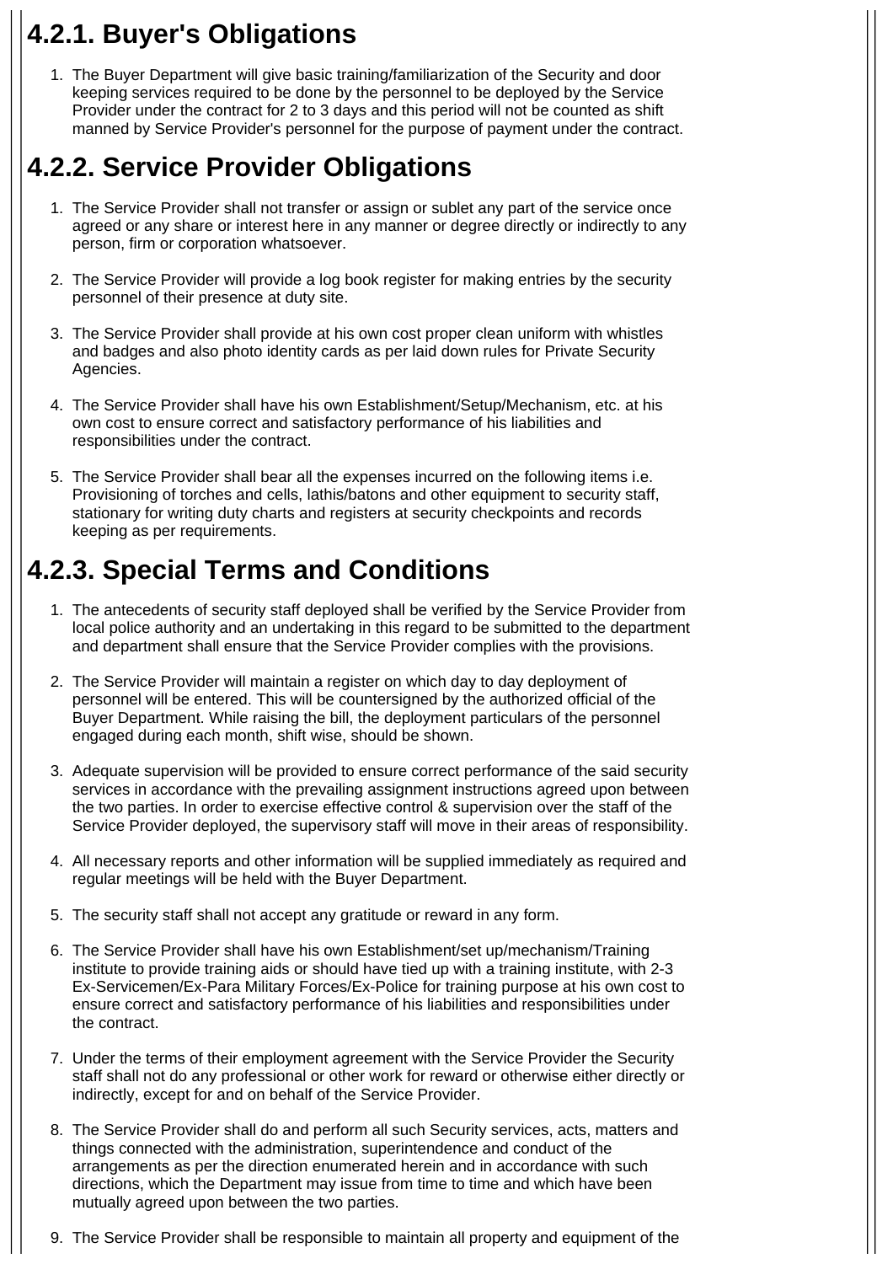### **4.2.1. Buyer's Obligations**

1. The Buyer Department will give basic training/familiarization of the Security and door keeping services required to be done by the personnel to be deployed by the Service Provider under the contract for 2 to 3 days and this period will not be counted as shift manned by Service Provider's personnel for the purpose of payment under the contract.

### **4.2.2. Service Provider Obligations**

- 1. The Service Provider shall not transfer or assign or sublet any part of the service once agreed or any share or interest here in any manner or degree directly or indirectly to any person, firm or corporation whatsoever.
- 2. The Service Provider will provide a log book register for making entries by the security personnel of their presence at duty site.
- 3. The Service Provider shall provide at his own cost proper clean uniform with whistles and badges and also photo identity cards as per laid down rules for Private Security Agencies.
- 4. The Service Provider shall have his own Establishment/Setup/Mechanism, etc. at his own cost to ensure correct and satisfactory performance of his liabilities and responsibilities under the contract.
- 5. The Service Provider shall bear all the expenses incurred on the following items i.e. Provisioning of torches and cells, lathis/batons and other equipment to security staff, stationary for writing duty charts and registers at security checkpoints and records keeping as per requirements.

#### **4.2.3. Special Terms and Conditions**

- 1. The antecedents of security staff deployed shall be verified by the Service Provider from local police authority and an undertaking in this regard to be submitted to the department and department shall ensure that the Service Provider complies with the provisions.
- 2. The Service Provider will maintain a register on which day to day deployment of personnel will be entered. This will be countersigned by the authorized official of the Buyer Department. While raising the bill, the deployment particulars of the personnel engaged during each month, shift wise, should be shown.
- 3. Adequate supervision will be provided to ensure correct performance of the said security services in accordance with the prevailing assignment instructions agreed upon between the two parties. In order to exercise effective control & supervision over the staff of the Service Provider deployed, the supervisory staff will move in their areas of responsibility.
- 4. All necessary reports and other information will be supplied immediately as required and regular meetings will be held with the Buyer Department.
- 5. The security staff shall not accept any gratitude or reward in any form.
- 6. The Service Provider shall have his own Establishment/set up/mechanism/Training institute to provide training aids or should have tied up with a training institute, with 2-3 Ex-Servicemen/Ex-Para Military Forces/Ex-Police for training purpose at his own cost to ensure correct and satisfactory performance of his liabilities and responsibilities under the contract.
- 7. Under the terms of their employment agreement with the Service Provider the Security staff shall not do any professional or other work for reward or otherwise either directly or indirectly, except for and on behalf of the Service Provider.
- 8. The Service Provider shall do and perform all such Security services, acts, matters and things connected with the administration, superintendence and conduct of the arrangements as per the direction enumerated herein and in accordance with such directions, which the Department may issue from time to time and which have been mutually agreed upon between the two parties.
- 9. The Service Provider shall be responsible to maintain all property and equipment of the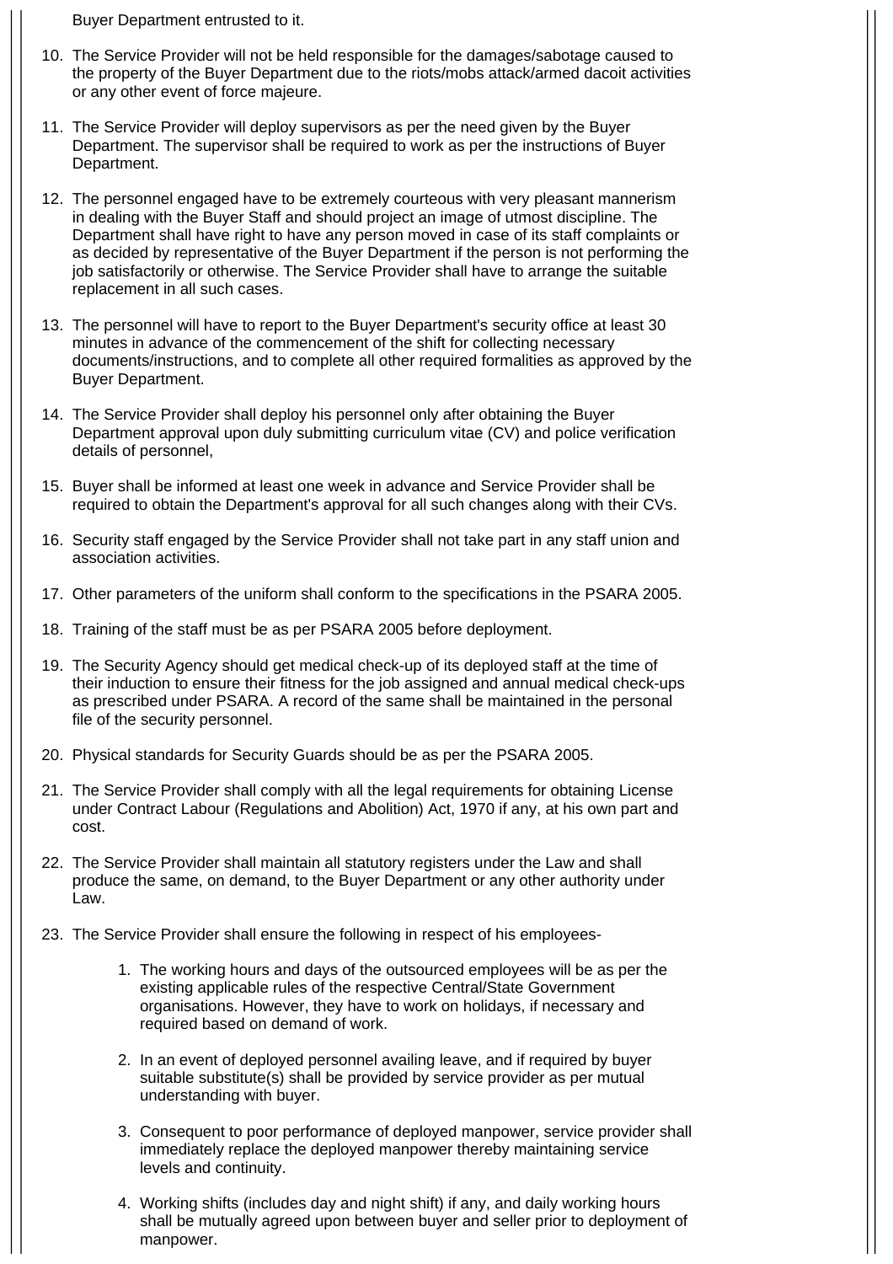Buyer Department entrusted to it.

- 10. The Service Provider will not be held responsible for the damages/sabotage caused to the property of the Buyer Department due to the riots/mobs attack/armed dacoit activities or any other event of force majeure.
- 11. The Service Provider will deploy supervisors as per the need given by the Buyer Department. The supervisor shall be required to work as per the instructions of Buyer Department.
- 12. The personnel engaged have to be extremely courteous with very pleasant mannerism in dealing with the Buyer Staff and should project an image of utmost discipline. The Department shall have right to have any person moved in case of its staff complaints or as decided by representative of the Buyer Department if the person is not performing the job satisfactorily or otherwise. The Service Provider shall have to arrange the suitable replacement in all such cases.
- 13. The personnel will have to report to the Buyer Department's security office at least 30 minutes in advance of the commencement of the shift for collecting necessary documents/instructions, and to complete all other required formalities as approved by the Buyer Department.
- 14. The Service Provider shall deploy his personnel only after obtaining the Buyer Department approval upon duly submitting curriculum vitae (CV) and police verification details of personnel,
- 15. Buyer shall be informed at least one week in advance and Service Provider shall be required to obtain the Department's approval for all such changes along with their CVs.
- 16. Security staff engaged by the Service Provider shall not take part in any staff union and association activities.
- 17. Other parameters of the uniform shall conform to the specifications in the PSARA 2005.
- 18. Training of the staff must be as per PSARA 2005 before deployment.
- 19. The Security Agency should get medical check-up of its deployed staff at the time of their induction to ensure their fitness for the job assigned and annual medical check-ups as prescribed under PSARA. A record of the same shall be maintained in the personal file of the security personnel.
- 20. Physical standards for Security Guards should be as per the PSARA 2005.
- 21. The Service Provider shall comply with all the legal requirements for obtaining License under Contract Labour (Regulations and Abolition) Act, 1970 if any, at his own part and cost.
- 22. The Service Provider shall maintain all statutory registers under the Law and shall produce the same, on demand, to the Buyer Department or any other authority under Law.
- 23. The Service Provider shall ensure the following in respect of his employees-
	- 1. The working hours and days of the outsourced employees will be as per the existing applicable rules of the respective Central/State Government organisations. However, they have to work on holidays, if necessary and required based on demand of work.
	- 2. In an event of deployed personnel availing leave, and if required by buyer suitable substitute(s) shall be provided by service provider as per mutual understanding with buyer.
	- 3. Consequent to poor performance of deployed manpower, service provider shall immediately replace the deployed manpower thereby maintaining service levels and continuity.
	- 4. Working shifts (includes day and night shift) if any, and daily working hours shall be mutually agreed upon between buyer and seller prior to deployment of manpower.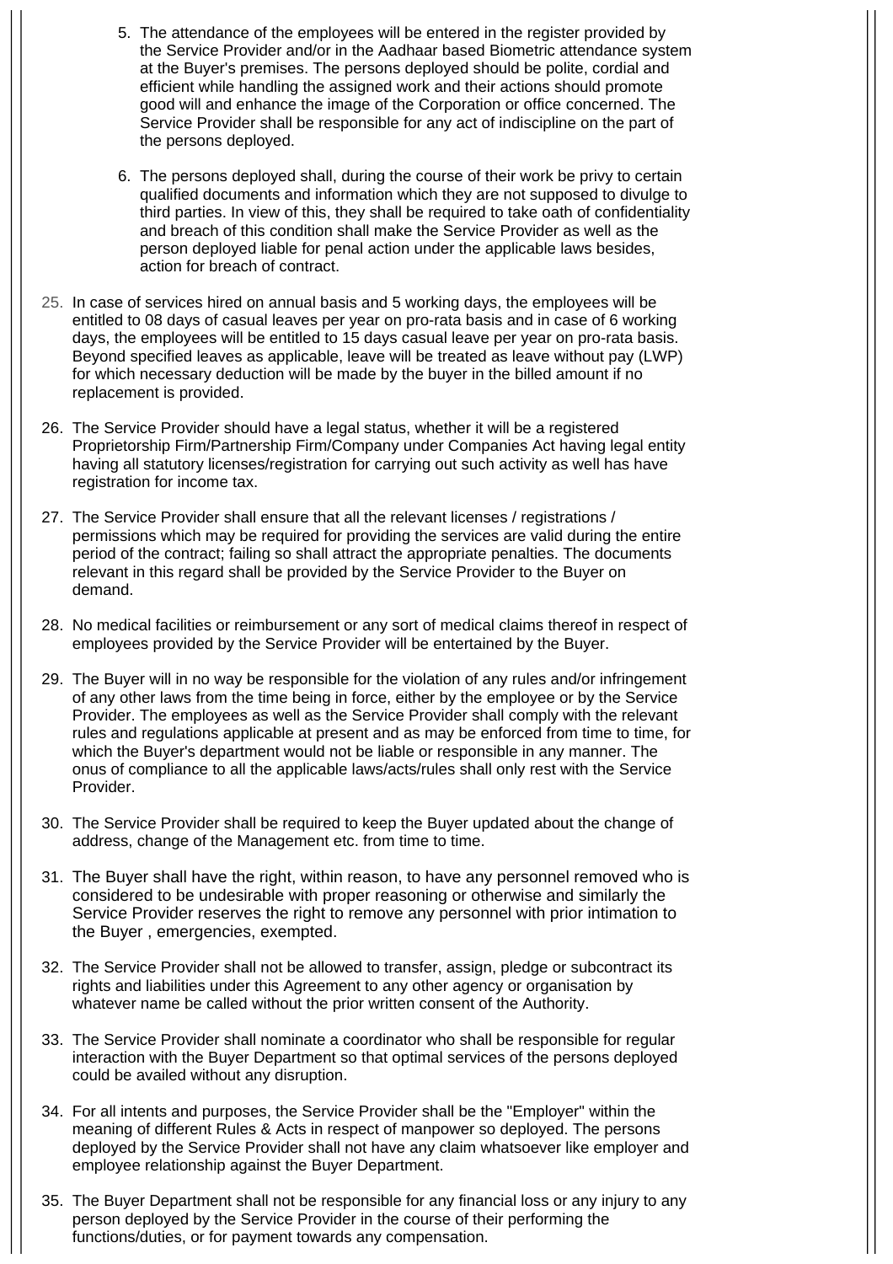- 5. The attendance of the employees will be entered in the register provided by the Service Provider and/or in the Aadhaar based Biometric attendance system at the Buyer's premises. The persons deployed should be polite, cordial and efficient while handling the assigned work and their actions should promote good will and enhance the image of the Corporation or office concerned. The Service Provider shall be responsible for any act of indiscipline on the part of the persons deployed.
- 6. The persons deployed shall, during the course of their work be privy to certain qualified documents and information which they are not supposed to divulge to third parties. In view of this, they shall be required to take oath of confidentiality and breach of this condition shall make the Service Provider as well as the person deployed liable for penal action under the applicable laws besides, action for breach of contract.
- 25. In case of services hired on annual basis and 5 working days, the employees will be entitled to 08 days of casual leaves per year on pro-rata basis and in case of 6 working days, the employees will be entitled to 15 days casual leave per year on pro-rata basis. Beyond specified leaves as applicable, leave will be treated as leave without pay (LWP) for which necessary deduction will be made by the buyer in the billed amount if no replacement is provided.
- 26. The Service Provider should have a legal status, whether it will be a registered Proprietorship Firm/Partnership Firm/Company under Companies Act having legal entity having all statutory licenses/registration for carrying out such activity as well has have registration for income tax.
- 27. The Service Provider shall ensure that all the relevant licenses / registrations / permissions which may be required for providing the services are valid during the entire period of the contract; failing so shall attract the appropriate penalties. The documents relevant in this regard shall be provided by the Service Provider to the Buyer on demand.
- 28. No medical facilities or reimbursement or any sort of medical claims thereof in respect of employees provided by the Service Provider will be entertained by the Buyer.
- 29. The Buyer will in no way be responsible for the violation of any rules and/or infringement of any other laws from the time being in force, either by the employee or by the Service Provider. The employees as well as the Service Provider shall comply with the relevant rules and regulations applicable at present and as may be enforced from time to time, for which the Buyer's department would not be liable or responsible in any manner. The onus of compliance to all the applicable laws/acts/rules shall only rest with the Service Provider.
- 30. The Service Provider shall be required to keep the Buyer updated about the change of address, change of the Management etc. from time to time.
- 31. The Buyer shall have the right, within reason, to have any personnel removed who is considered to be undesirable with proper reasoning or otherwise and similarly the Service Provider reserves the right to remove any personnel with prior intimation to the Buyer , emergencies, exempted.
- 32. The Service Provider shall not be allowed to transfer, assign, pledge or subcontract its rights and liabilities under this Agreement to any other agency or organisation by whatever name be called without the prior written consent of the Authority.
- 33. The Service Provider shall nominate a coordinator who shall be responsible for regular interaction with the Buyer Department so that optimal services of the persons deployed could be availed without any disruption.
- 34. For all intents and purposes, the Service Provider shall be the "Employer" within the meaning of different Rules & Acts in respect of manpower so deployed. The persons deployed by the Service Provider shall not have any claim whatsoever like employer and employee relationship against the Buyer Department.
- 35. The Buyer Department shall not be responsible for any financial loss or any injury to any person deployed by the Service Provider in the course of their performing the functions/duties, or for payment towards any compensation.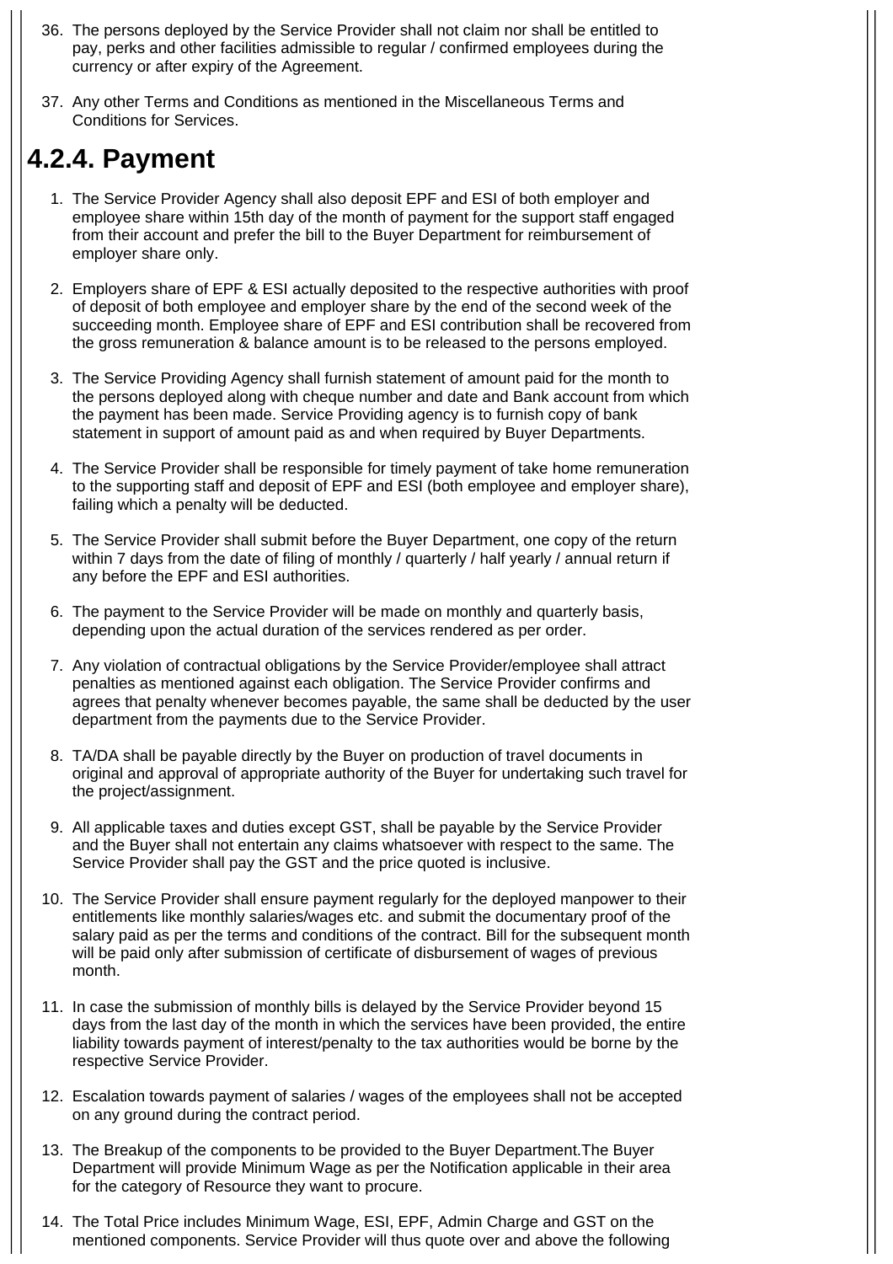- 36. The persons deployed by the Service Provider shall not claim nor shall be entitled to pay, perks and other facilities admissible to regular / confirmed employees during the currency or after expiry of the Agreement.
- 37. Any other Terms and Conditions as mentioned in the Miscellaneous Terms and Conditions for Services.

#### **4.2.4. Payment**

- 1. The Service Provider Agency shall also deposit EPF and ESI of both employer and employee share within 15th day of the month of payment for the support staff engaged from their account and prefer the bill to the Buyer Department for reimbursement of employer share only.
- 2. Employers share of EPF & ESI actually deposited to the respective authorities with proof of deposit of both employee and employer share by the end of the second week of the succeeding month. Employee share of EPF and ESI contribution shall be recovered from the gross remuneration & balance amount is to be released to the persons employed.
- 3. The Service Providing Agency shall furnish statement of amount paid for the month to the persons deployed along with cheque number and date and Bank account from which the payment has been made. Service Providing agency is to furnish copy of bank statement in support of amount paid as and when required by Buyer Departments.
- 4. The Service Provider shall be responsible for timely payment of take home remuneration to the supporting staff and deposit of EPF and ESI (both employee and employer share), failing which a penalty will be deducted.
- 5. The Service Provider shall submit before the Buyer Department, one copy of the return within 7 days from the date of filing of monthly / quarterly / half yearly / annual return if any before the EPF and ESI authorities.
- 6. The payment to the Service Provider will be made on monthly and quarterly basis, depending upon the actual duration of the services rendered as per order.
- 7. Any violation of contractual obligations by the Service Provider/employee shall attract penalties as mentioned against each obligation. The Service Provider confirms and agrees that penalty whenever becomes payable, the same shall be deducted by the user department from the payments due to the Service Provider.
- 8. TA/DA shall be payable directly by the Buyer on production of travel documents in original and approval of appropriate authority of the Buyer for undertaking such travel for the project/assignment.
- 9. All applicable taxes and duties except GST, shall be payable by the Service Provider and the Buyer shall not entertain any claims whatsoever with respect to the same. The Service Provider shall pay the GST and the price quoted is inclusive.
- 10. The Service Provider shall ensure payment regularly for the deployed manpower to their entitlements like monthly salaries/wages etc. and submit the documentary proof of the salary paid as per the terms and conditions of the contract. Bill for the subsequent month will be paid only after submission of certificate of disbursement of wages of previous month.
- 11. In case the submission of monthly bills is delayed by the Service Provider beyond 15 days from the last day of the month in which the services have been provided, the entire liability towards payment of interest/penalty to the tax authorities would be borne by the respective Service Provider.
- 12. Escalation towards payment of salaries / wages of the employees shall not be accepted on any ground during the contract period.
- 13. The Breakup of the components to be provided to the Buyer Department.The Buyer Department will provide Minimum Wage as per the Notification applicable in their area for the category of Resource they want to procure.
- 14. The Total Price includes Minimum Wage, ESI, EPF, Admin Charge and GST on the mentioned components. Service Provider will thus quote over and above the following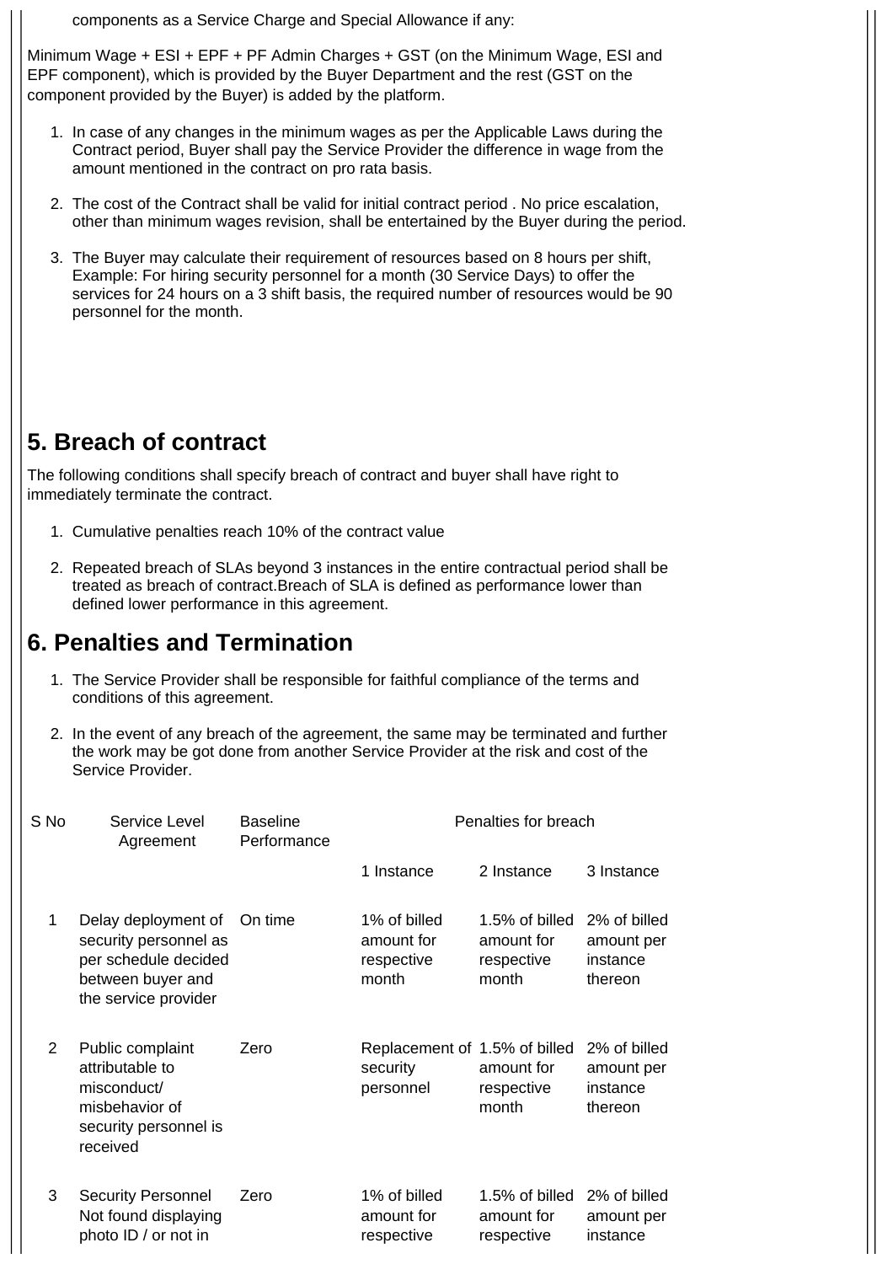components as a Service Charge and Special Allowance if any:

Minimum Wage + ESI + EPF + PF Admin Charges + GST (on the Minimum Wage, ESI and EPF component), which is provided by the Buyer Department and the rest (GST on the component provided by the Buyer) is added by the platform.

- 1. In case of any changes in the minimum wages as per the Applicable Laws during the Contract period, Buyer shall pay the Service Provider the difference in wage from the amount mentioned in the contract on pro rata basis.
- 2. The cost of the Contract shall be valid for initial contract period . No price escalation, other than minimum wages revision, shall be entertained by the Buyer during the period.
- 3. The Buyer may calculate their requirement of resources based on 8 hours per shift, Example: For hiring security personnel for a month (30 Service Days) to offer the services for 24 hours on a 3 shift basis, the required number of resources would be 90 personnel for the month.

#### **5. Breach of contract**

The following conditions shall specify breach of contract and buyer shall have right to immediately terminate the contract.

- 1. Cumulative penalties reach 10% of the contract value
- 2. Repeated breach of SLAs beyond 3 instances in the entire contractual period shall be treated as breach of contract.Breach of SLA is defined as performance lower than defined lower performance in this agreement.

#### **6. Penalties and Termination**

- 1. The Service Provider shall be responsible for faithful compliance of the terms and conditions of this agreement.
- 2. In the event of any breach of the agreement, the same may be terminated and further the work may be got done from another Service Provider at the risk and cost of the Service Provider.

| S No | Service Level<br>Agreement                                                                                        | <b>Baseline</b><br>Performance | Penalties for breach                                   |                                                     |                                                   |  |
|------|-------------------------------------------------------------------------------------------------------------------|--------------------------------|--------------------------------------------------------|-----------------------------------------------------|---------------------------------------------------|--|
|      |                                                                                                                   |                                | 1 Instance                                             | 2 Instance                                          | 3 Instance                                        |  |
| 1    | Delay deployment of<br>security personnel as<br>per schedule decided<br>between buyer and<br>the service provider | On time                        | 1% of billed<br>amount for<br>respective<br>month      | 1.5% of billed<br>amount for<br>respective<br>month | 2% of billed<br>amount per<br>instance<br>thereon |  |
| 2    | Public complaint<br>attributable to<br>misconduct/<br>misbehavior of<br>security personnel is<br>received         | Zero                           | Replacement of 1.5% of billed<br>security<br>personnel | amount for<br>respective<br>month                   | 2% of billed<br>amount per<br>instance<br>thereon |  |
| 3    | <b>Security Personnel</b><br>Not found displaying<br>photo ID / or not in                                         | Zero                           | 1% of billed<br>amount for<br>respective               | 1.5% of billed<br>amount for<br>respective          | 2% of billed<br>amount per<br>instance            |  |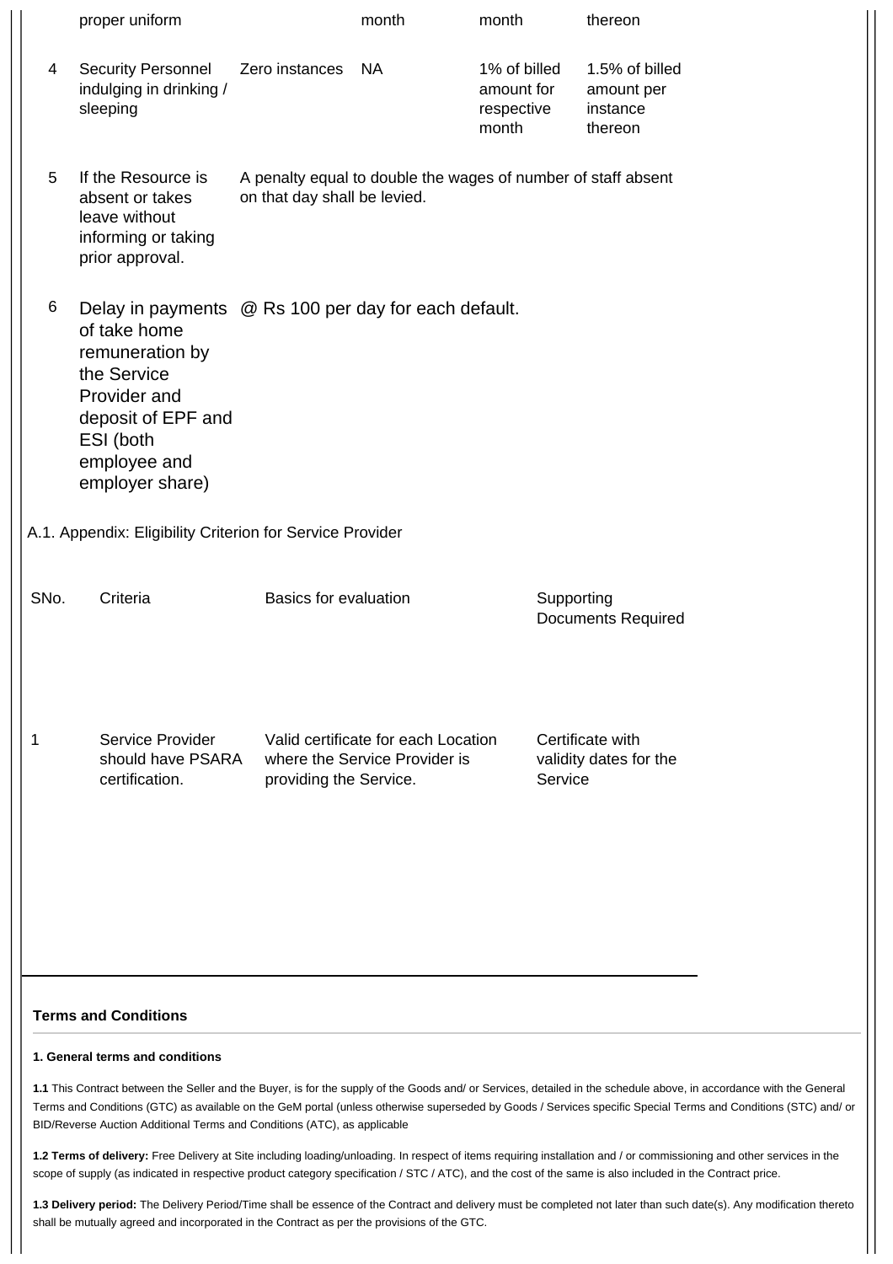|      | proper uniform                                                                                                                                                                               |                              | month                                                                | month                                             | thereon                                             |  |
|------|----------------------------------------------------------------------------------------------------------------------------------------------------------------------------------------------|------------------------------|----------------------------------------------------------------------|---------------------------------------------------|-----------------------------------------------------|--|
| 4    | <b>Security Personnel</b><br>indulging in drinking /<br>sleeping                                                                                                                             | Zero instances               | <b>NA</b>                                                            | 1% of billed<br>amount for<br>respective<br>month | 1.5% of billed<br>amount per<br>instance<br>thereon |  |
| 5    | If the Resource is<br>absent or takes<br>leave without<br>informing or taking<br>prior approval.                                                                                             | on that day shall be levied. | A penalty equal to double the wages of number of staff absent        |                                                   |                                                     |  |
| 6    | Delay in payments @ Rs 100 per day for each default.<br>of take home<br>remuneration by<br>the Service<br>Provider and<br>deposit of EPF and<br>ESI (both<br>employee and<br>employer share) |                              |                                                                      |                                                   |                                                     |  |
|      | A.1. Appendix: Eligibility Criterion for Service Provider                                                                                                                                    |                              |                                                                      |                                                   |                                                     |  |
| SNo. | Criteria                                                                                                                                                                                     | <b>Basics for evaluation</b> |                                                                      | Supporting                                        | <b>Documents Required</b>                           |  |
| 1    | Service Provider<br>should have PSARA<br>certification.                                                                                                                                      | providing the Service.       | Valid certificate for each Location<br>where the Service Provider is | Service                                           | Certificate with<br>validity dates for the          |  |
|      | <b>Terms and Conditions</b>                                                                                                                                                                  |                              |                                                                      |                                                   |                                                     |  |

#### **1. General terms and conditions**

**1.1** This Contract between the Seller and the Buyer, is for the supply of the Goods and/ or Services, detailed in the schedule above, in accordance with the General Terms and Conditions (GTC) as available on the GeM portal (unless otherwise superseded by Goods / Services specific Special Terms and Conditions (STC) and/ or BID/Reverse Auction Additional Terms and Conditions (ATC), as applicable

**1.2 Terms of delivery:** Free Delivery at Site including loading/unloading. In respect of items requiring installation and / or commissioning and other services in the scope of supply (as indicated in respective product category specification / STC / ATC), and the cost of the same is also included in the Contract price.

**1.3 Delivery period:** The Delivery Period/Time shall be essence of the Contract and delivery must be completed not later than such date(s). Any modification thereto shall be mutually agreed and incorporated in the Contract as per the provisions of the GTC.